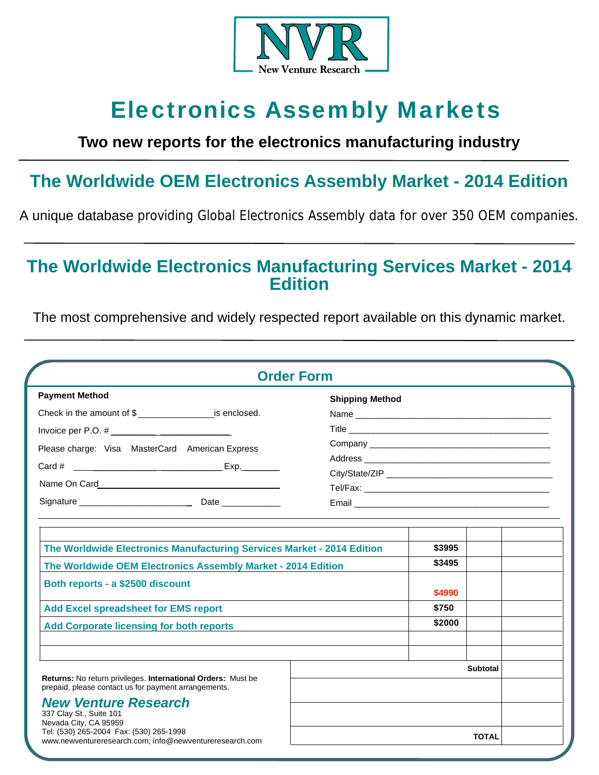

# Electronics Assembly Markets

# **Two new reports for the electronics manufacturing industry**

# **The Worldwide OEM Electronics Assembly Market - 2014 Edition**

A unique database providing Global Electronics Assembly data for over 350 OEM companies.

# **The Worldwide Electronics Manufacturing Services Market - 2014 Edition**

The most comprehensive and widely respected report available on this dynamic market.

| <b>Order Form</b>                                                                                                                                                                                                                                                                                             |                                 |
|---------------------------------------------------------------------------------------------------------------------------------------------------------------------------------------------------------------------------------------------------------------------------------------------------------------|---------------------------------|
| <b>Payment Method</b>                                                                                                                                                                                                                                                                                         | <b>Shipping Method</b>          |
|                                                                                                                                                                                                                                                                                                               |                                 |
|                                                                                                                                                                                                                                                                                                               |                                 |
| Please charge: Visa MasterCard American Express                                                                                                                                                                                                                                                               |                                 |
|                                                                                                                                                                                                                                                                                                               |                                 |
| $Exp$ .                                                                                                                                                                                                                                                                                                       |                                 |
|                                                                                                                                                                                                                                                                                                               |                                 |
|                                                                                                                                                                                                                                                                                                               |                                 |
| The Worldwide Electronics Manufacturing Services Market - 2014 Edition                                                                                                                                                                                                                                        | \$3995                          |
| The Worldwide OEM Electronics Assembly Market - 2014 Edition                                                                                                                                                                                                                                                  | \$3495                          |
| Both reports - a \$2500 discount                                                                                                                                                                                                                                                                              | \$4990                          |
| <b>Add Excel spreadsheet for EMS report</b>                                                                                                                                                                                                                                                                   | \$750                           |
| <b>Add Corporate licensing for both reports</b>                                                                                                                                                                                                                                                               | \$2000                          |
| Returns: No return privileges. International Orders: Must be<br>prepaid, please contact us for payment arrangements.<br><b>New Venture Research</b><br>337 Clay St., Suite 101<br>Nevada City, CA 95959<br>Tel: (530) 265-2004 Fax: (530) 265-1998<br>www.newventureresearch.com: info@newventureresearch.com | <b>Subtotal</b><br><b>TOTAL</b> |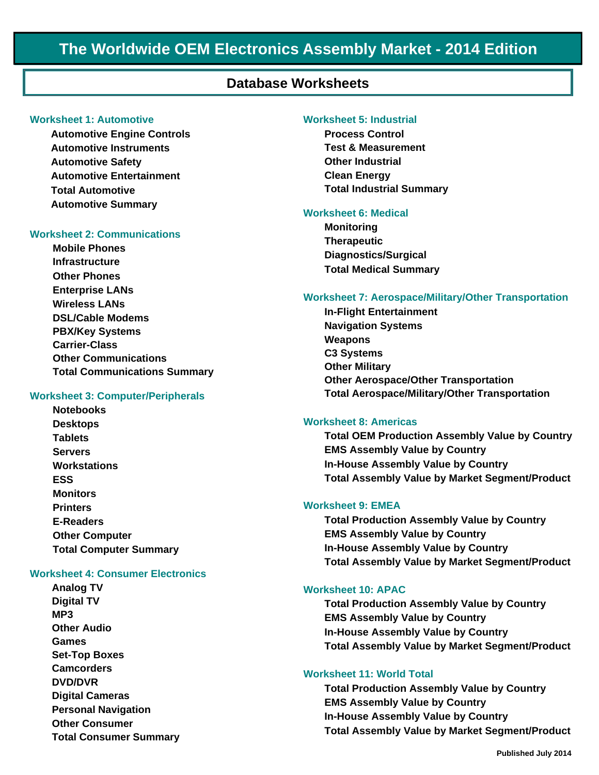# **The Worldwide OEM Electronics Assembly Market - 2014 Edition**

# **Database Worksheets**

### **Worksheet 1: Automotive**

**Automotive Engine Controls Automotive Instruments Automotive Safety Automotive Entertainment Total Automotive Automotive Summary**

### **Worksheet 2: Communications**

**Mobile Phones Infrastructure Other Phones Enterprise LANs Wireless LANs DSL/Cable Modems PBX/Key Systems Carrier-Class Other Communications Total Communications Summary** 

#### **Worksheet 3: Computer/Peripherals**

**Notebooks Desktops Tablets Servers Workstations ESS Monitors Printers E-Readers Other Computer Total Computer Summary** 

#### **Worksheet 4: Consumer Electronics**

**Analog TV Digital TV MP3 Other Audio Games Set-Top Boxes Camcorders DVD/DVR Digital Cameras Personal Navigation Other Consumer Total Consumer Summary**

#### **Worksheet 5: Industrial**

**Process Control Test & Measurement Other Industrial Clean Energy Total Industrial Summary**

#### **Worksheet 6: Medical**

**Monitoring Therapeutic Diagnostics/Surgical Total Medical Summary** 

#### **Worksheet 7: Aerospace/Military/Other Transportation**

**In-Flight Entertainment Navigation Systems Weapons C3 Systems Other Military Other Aerospace/Other Transportation Total Aerospace/Military/Other Transportation** 

### **Worksheet 8: Americas**

**Total OEM Production Assembly Value by Country EMS Assembly Value by Country In-House Assembly Value by Country Total Assembly Value by Market Segment/Product**

### **Worksheet 9: EMEA**

**Total Production Assembly Value by Country EMS Assembly Value by Country In-House Assembly Value by Country Total Assembly Value by Market Segment/Product**

#### **Worksheet 10: APAC**

**Total Production Assembly Value by Country EMS Assembly Value by Country In-House Assembly Value by Country Total Assembly Value by Market Segment/Product**

#### **Worksheet 11: World Total**

**Total Production Assembly Value by Country EMS Assembly Value by Country In-House Assembly Value by Country Total Assembly Value by Market Segment/Product**